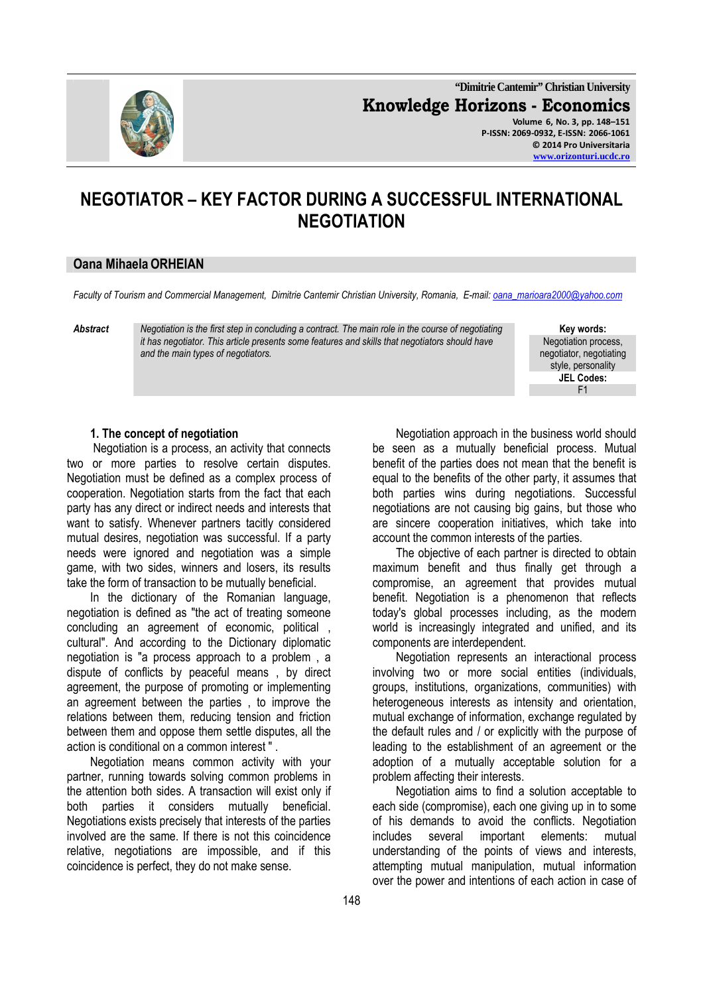

**"Dimitrie Cantemir" Christian University Knowledge Horizons - Economics Volume 6, No. 3, pp. 148–151 P-ISSN: 2069-0932, E-ISSN: 2066-1061 © 2014 Pro Universitaria www.orizonturi.ucdc.ro**

# **NEGOTIATOR – KEY FACTOR DURING A SUCCESSFUL INTERNATIONAL NEGOTIATION**

#### **Oana MihaelaORHEIAN**

*Faculty of Tourism and Commercial Management, Dimitrie Cantemir Christian University, Romania, E-mail: oana\_marioara2000@yahoo.com*

*Abstract Negotiation is the first step in concluding a contract. The main role in the course of negotiating it has negotiator. This article presents some features and skills that negotiators should have and the main types of negotiators.*

**Key words:**  Negotiation process, negotiator, negotiating style, personality **JEL Codes:** F1

#### **1. The concept of negotiation**

 Negotiation is a process, an activity that connects two or more parties to resolve certain disputes. Negotiation must be defined as a complex process of cooperation. Negotiation starts from the fact that each party has any direct or indirect needs and interests that want to satisfy. Whenever partners tacitly considered mutual desires, negotiation was successful. If a party needs were ignored and negotiation was a simple game, with two sides, winners and losers, its results take the form of transaction to be mutually beneficial.

In the dictionary of the Romanian language, negotiation is defined as "the act of treating someone concluding an agreement of economic, political , cultural". And according to the Dictionary diplomatic negotiation is "a process approach to a problem , a dispute of conflicts by peaceful means , by direct agreement, the purpose of promoting or implementing an agreement between the parties , to improve the relations between them, reducing tension and friction between them and oppose them settle disputes, all the action is conditional on a common interest " .

Negotiation means common activity with your partner, running towards solving common problems in the attention both sides. A transaction will exist only if both parties it considers mutually beneficial. Negotiations exists precisely that interests of the parties involved are the same. If there is not this coincidence relative, negotiations are impossible, and if this coincidence is perfect, they do not make sense.

Negotiation approach in the business world should be seen as a mutually beneficial process. Mutual benefit of the parties does not mean that the benefit is equal to the benefits of the other party, it assumes that both parties wins during negotiations. Successful negotiations are not causing big gains, but those who are sincere cooperation initiatives, which take into account the common interests of the parties.

The objective of each partner is directed to obtain maximum benefit and thus finally get through a compromise, an agreement that provides mutual benefit. Negotiation is a phenomenon that reflects today's global processes including, as the modern world is increasingly integrated and unified, and its components are interdependent.

Negotiation represents an interactional process involving two or more social entities (individuals, groups, institutions, organizations, communities) with heterogeneous interests as intensity and orientation, mutual exchange of information, exchange regulated by the default rules and / or explicitly with the purpose of leading to the establishment of an agreement or the adoption of a mutually acceptable solution for a problem affecting their interests.

Negotiation aims to find a solution acceptable to each side (compromise), each one giving up in to some of his demands to avoid the conflicts. Negotiation includes several important elements: mutual understanding of the points of views and interests, attempting mutual manipulation, mutual information over the power and intentions of each action in case of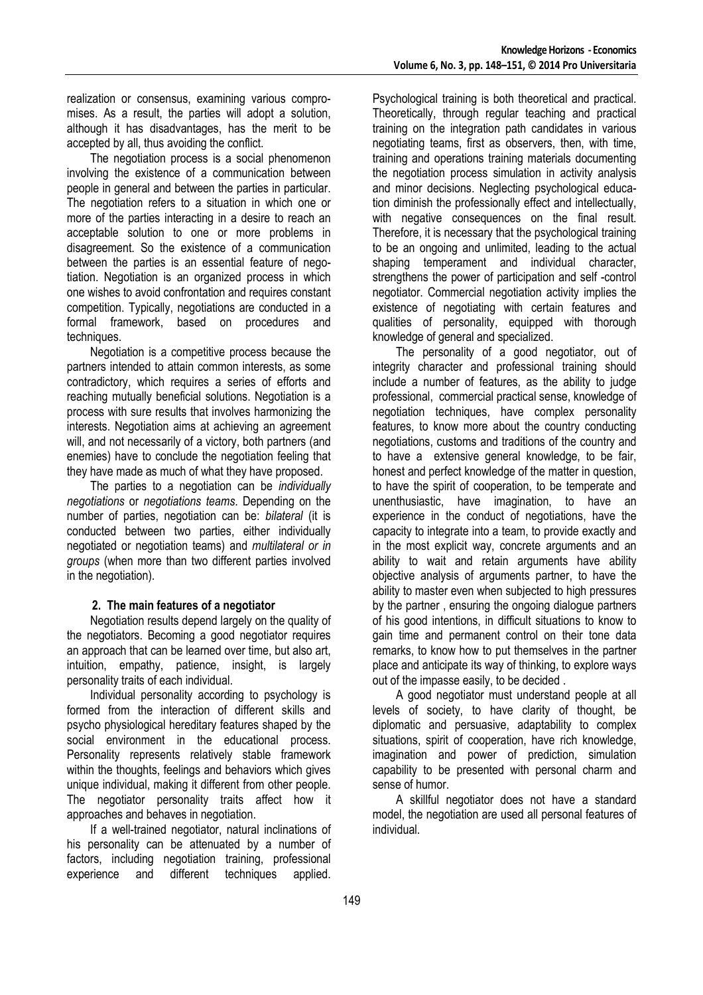realization or consensus, examining various compromises. As a result, the parties will adopt a solution, although it has disadvantages, has the merit to be accepted by all, thus avoiding the conflict.

The negotiation process is a social phenomenon involving the existence of a communication between people in general and between the parties in particular. The negotiation refers to a situation in which one or more of the parties interacting in a desire to reach an acceptable solution to one or more problems in disagreement. So the existence of a communication between the parties is an essential feature of negotiation. Negotiation is an organized process in which one wishes to avoid confrontation and requires constant competition. Typically, negotiations are conducted in a formal framework, based on procedures and techniques.

Negotiation is a competitive process because the partners intended to attain common interests, as some contradictory, which requires a series of efforts and reaching mutually beneficial solutions. Negotiation is a process with sure results that involves harmonizing the interests. Negotiation aims at achieving an agreement will, and not necessarily of a victory, both partners (and enemies) have to conclude the negotiation feeling that they have made as much of what they have proposed.

The parties to a negotiation can be *individually negotiations* or *negotiations teams*. Depending on the number of parties, negotiation can be: *bilateral* (it is conducted between two parties, either individually negotiated or negotiation teams) and *multilateral or in groups* (when more than two different parties involved in the negotiation).

#### **2. The main features of a negotiator**

Negotiation results depend largely on the quality of the negotiators. Becoming a good negotiator requires an approach that can be learned over time, but also art, intuition, empathy, patience, insight, is largely personality traits of each individual.

Individual personality according to psychology is formed from the interaction of different skills and psycho physiological hereditary features shaped by the social environment in the educational process. Personality represents relatively stable framework within the thoughts, feelings and behaviors which gives unique individual, making it different from other people. The negotiator personality traits affect how it approaches and behaves in negotiation.

If a well-trained negotiator, natural inclinations of his personality can be attenuated by a number of factors, including negotiation training, professional experience and different techniques applied.

Psychological training is both theoretical and practical. Theoretically, through regular teaching and practical training on the integration path candidates in various negotiating teams, first as observers, then, with time, training and operations training materials documenting the negotiation process simulation in activity analysis and minor decisions. Neglecting psychological education diminish the professionally effect and intellectually, with negative consequences on the final result. Therefore, it is necessary that the psychological training to be an ongoing and unlimited, leading to the actual shaping temperament and individual character, strengthens the power of participation and self -control negotiator. Commercial negotiation activity implies the existence of negotiating with certain features and qualities of personality, equipped with thorough knowledge of general and specialized.

The personality of a good negotiator, out of integrity character and professional training should include a number of features, as the ability to judge professional, commercial practical sense, knowledge of negotiation techniques, have complex personality features, to know more about the country conducting negotiations, customs and traditions of the country and to have a extensive general knowledge, to be fair, honest and perfect knowledge of the matter in question, to have the spirit of cooperation, to be temperate and unenthusiastic, have imagination, to have an experience in the conduct of negotiations, have the capacity to integrate into a team, to provide exactly and in the most explicit way, concrete arguments and an ability to wait and retain arguments have ability objective analysis of arguments partner, to have the ability to master even when subjected to high pressures by the partner , ensuring the ongoing dialogue partners of his good intentions, in difficult situations to know to gain time and permanent control on their tone data remarks, to know how to put themselves in the partner place and anticipate its way of thinking, to explore ways out of the impasse easily, to be decided .

A good negotiator must understand people at all levels of society, to have clarity of thought, be diplomatic and persuasive, adaptability to complex situations, spirit of cooperation, have rich knowledge, imagination and power of prediction, simulation capability to be presented with personal charm and sense of humor.

A skillful negotiator does not have a standard model, the negotiation are used all personal features of individual.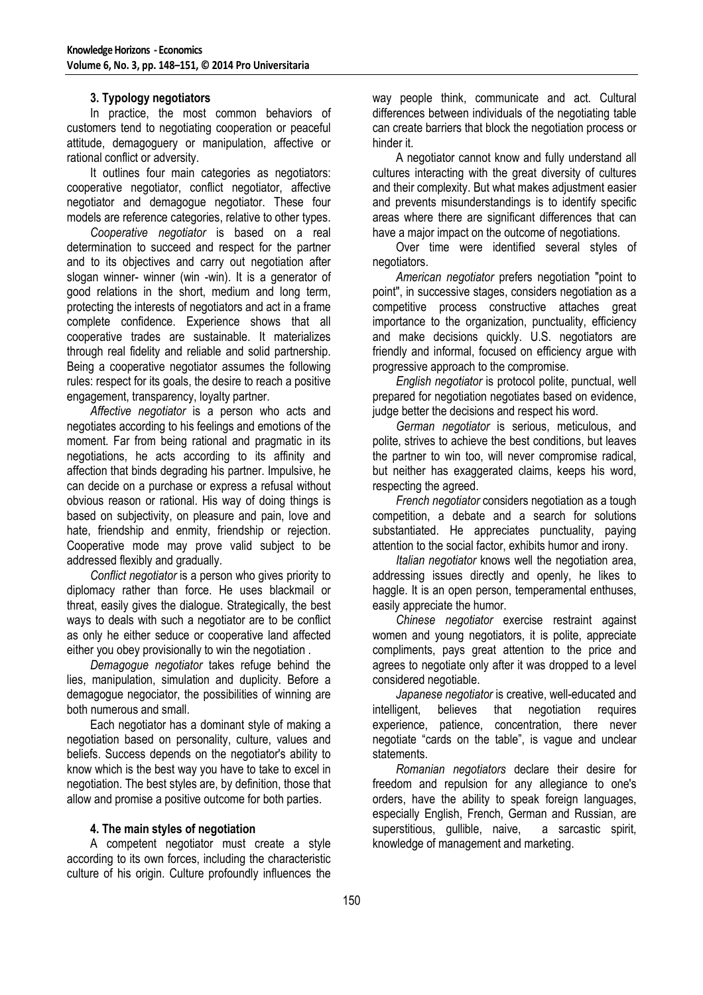#### **3. Typology negotiators**

In practice, the most common behaviors of customers tend to negotiating cooperation or peaceful attitude, demagoguery or manipulation, affective or rational conflict or adversity.

It outlines four main categories as negotiators: cooperative negotiator, conflict negotiator, affective negotiator and demagogue negotiator. These four models are reference categories, relative to other types.

*Cooperative negotiator* is based on a real determination to succeed and respect for the partner and to its objectives and carry out negotiation after slogan winner- winner (win -win). It is a generator of good relations in the short, medium and long term, protecting the interests of negotiators and act in a frame complete confidence. Experience shows that all cooperative trades are sustainable. It materializes through real fidelity and reliable and solid partnership. Being a cooperative negotiator assumes the following rules: respect for its goals, the desire to reach a positive engagement, transparency, loyalty partner.

*Affective negotiator* is a person who acts and negotiates according to his feelings and emotions of the moment. Far from being rational and pragmatic in its negotiations, he acts according to its affinity and affection that binds degrading his partner. Impulsive, he can decide on a purchase or express a refusal without obvious reason or rational. His way of doing things is based on subjectivity, on pleasure and pain, love and hate, friendship and enmity, friendship or rejection. Cooperative mode may prove valid subject to be addressed flexibly and gradually.

*Conflict negotiator* is a person who gives priority to diplomacy rather than force. He uses blackmail or threat, easily gives the dialogue. Strategically, the best ways to deals with such a negotiator are to be conflict as only he either seduce or cooperative land affected either you obey provisionally to win the negotiation .

*Demagogue negotiator* takes refuge behind the lies, manipulation, simulation and duplicity. Before a demagogue negociator, the possibilities of winning are both numerous and small.

Each negotiator has a dominant style of making a negotiation based on personality, culture, values and beliefs. Success depends on the negotiator's ability to know which is the best way you have to take to excel in negotiation. The best styles are, by definition, those that allow and promise a positive outcome for both parties.

### **4. The main styles of negotiation**

A competent negotiator must create a style according to its own forces, including the characteristic culture of his origin. Culture profoundly influences the way people think, communicate and act. Cultural differences between individuals of the negotiating table can create barriers that block the negotiation process or hinder it.

A negotiator cannot know and fully understand all cultures interacting with the great diversity of cultures and their complexity. But what makes adjustment easier and prevents misunderstandings is to identify specific areas where there are significant differences that can have a major impact on the outcome of negotiations.

Over time were identified several styles of negotiators.

*American negotiator* prefers negotiation "point to point", in successive stages, considers negotiation as a competitive process constructive attaches great importance to the organization, punctuality, efficiency and make decisions quickly. U.S. negotiators are friendly and informal, focused on efficiency argue with progressive approach to the compromise.

*English negotiator* is protocol polite, punctual, well prepared for negotiation negotiates based on evidence, judge better the decisions and respect his word.

*German negotiator* is serious, meticulous, and polite, strives to achieve the best conditions, but leaves the partner to win too, will never compromise radical, but neither has exaggerated claims, keeps his word, respecting the agreed.

*French negotiator* considers negotiation as a tough competition, a debate and a search for solutions substantiated. He appreciates punctuality, paying attention to the social factor, exhibits humor and irony.

*Italian negotiator* knows well the negotiation area, addressing issues directly and openly, he likes to haggle. It is an open person, temperamental enthuses, easily appreciate the humor.

*Chinese negotiator* exercise restraint against women and young negotiators, it is polite, appreciate compliments, pays great attention to the price and agrees to negotiate only after it was dropped to a level considered negotiable.

*Japanese negotiator* is creative, well-educated and intelligent, believes that negotiation requires experience, patience, concentration, there never negotiate "cards on the table", is vague and unclear statements.

*Romanian negotiators* declare their desire for freedom and repulsion for any allegiance to one's orders, have the ability to speak foreign languages, especially English, French, German and Russian, are superstitious, gullible, naive, a sarcastic spirit. knowledge of management and marketing.